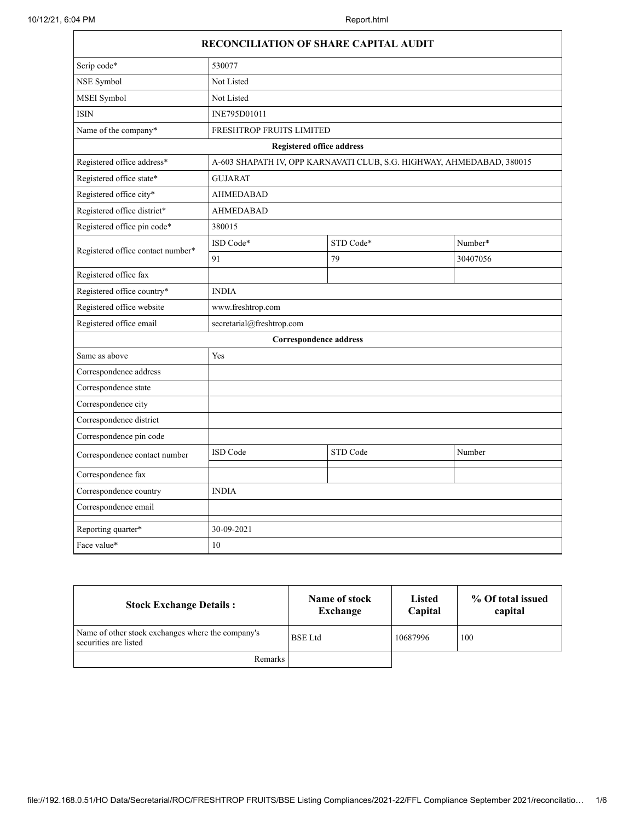Г

|                                   | RECONCILIATION OF SHARE CAPITAL AUDIT                                 |           |          |  |
|-----------------------------------|-----------------------------------------------------------------------|-----------|----------|--|
| Scrip code*                       | 530077                                                                |           |          |  |
| NSE Symbol                        | Not Listed                                                            |           |          |  |
| MSEI Symbol                       | Not Listed                                                            |           |          |  |
| <b>ISIN</b>                       | INE795D01011                                                          |           |          |  |
| Name of the company*              | FRESHTROP FRUITS LIMITED                                              |           |          |  |
|                                   | <b>Registered office address</b>                                      |           |          |  |
| Registered office address*        | A-603 SHAPATH IV, OPP KARNAVATI CLUB, S.G. HIGHWAY, AHMEDABAD, 380015 |           |          |  |
| Registered office state*          | <b>GUJARAT</b>                                                        |           |          |  |
| Registered office city*           | <b>AHMEDABAD</b>                                                      |           |          |  |
| Registered office district*       | <b>AHMEDABAD</b>                                                      |           |          |  |
| Registered office pin code*       | 380015                                                                |           |          |  |
| Registered office contact number* | ISD Code*                                                             | STD Code* | Number*  |  |
|                                   | 91                                                                    | 79        | 30407056 |  |
| Registered office fax             |                                                                       |           |          |  |
| Registered office country*        | <b>INDIA</b>                                                          |           |          |  |
| Registered office website         | www.freshtrop.com                                                     |           |          |  |
| Registered office email           | secretarial@freshtrop.com                                             |           |          |  |
|                                   | <b>Correspondence address</b>                                         |           |          |  |
| Same as above                     | Yes                                                                   |           |          |  |
| Correspondence address            |                                                                       |           |          |  |
| Correspondence state              |                                                                       |           |          |  |
| Correspondence city               |                                                                       |           |          |  |
| Correspondence district           |                                                                       |           |          |  |
| Correspondence pin code           |                                                                       |           |          |  |
| Correspondence contact number     | ISD Code                                                              | STD Code  | Number   |  |
| Correspondence fax                |                                                                       |           |          |  |
| Correspondence country            | <b>INDIA</b>                                                          |           |          |  |
| Correspondence email              |                                                                       |           |          |  |
| Reporting quarter*                | 30-09-2021                                                            |           |          |  |
| Face value*                       | 10                                                                    |           |          |  |

| <b>Stock Exchange Details:</b>                                             | Name of stock<br>Exchange | <b>Listed</b><br>Capital | % Of total issued<br>capital |
|----------------------------------------------------------------------------|---------------------------|--------------------------|------------------------------|
| Name of other stock exchanges where the company's<br>securities are listed | <b>BSE</b> Ltd            | 10687996                 | 100                          |
| <b>Remarks</b>                                                             |                           |                          |                              |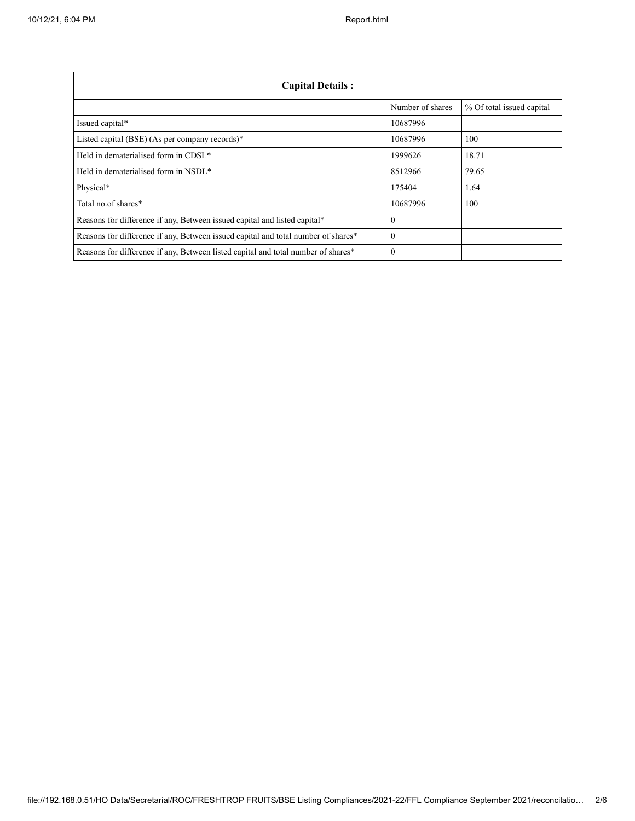| <b>Capital Details:</b>                                                           |                  |                           |
|-----------------------------------------------------------------------------------|------------------|---------------------------|
|                                                                                   | Number of shares | % Of total issued capital |
| Issued capital*                                                                   | 10687996         |                           |
| Listed capital (BSE) (As per company records)*                                    | 10687996         | 100                       |
| Held in dematerialised form in CDSL*                                              | 1999626          | 18.71                     |
| Held in dematerialised form in NSDL*                                              | 8512966          | 79.65                     |
| Physical*                                                                         | 175404           | 1.64                      |
| Total no of shares*                                                               | 10687996         | 100                       |
| Reasons for difference if any, Between issued capital and listed capital*         | $\theta$         |                           |
| Reasons for difference if any, Between issued capital and total number of shares* | $\Omega$         |                           |
| Reasons for difference if any, Between listed capital and total number of shares* | $\Omega$         |                           |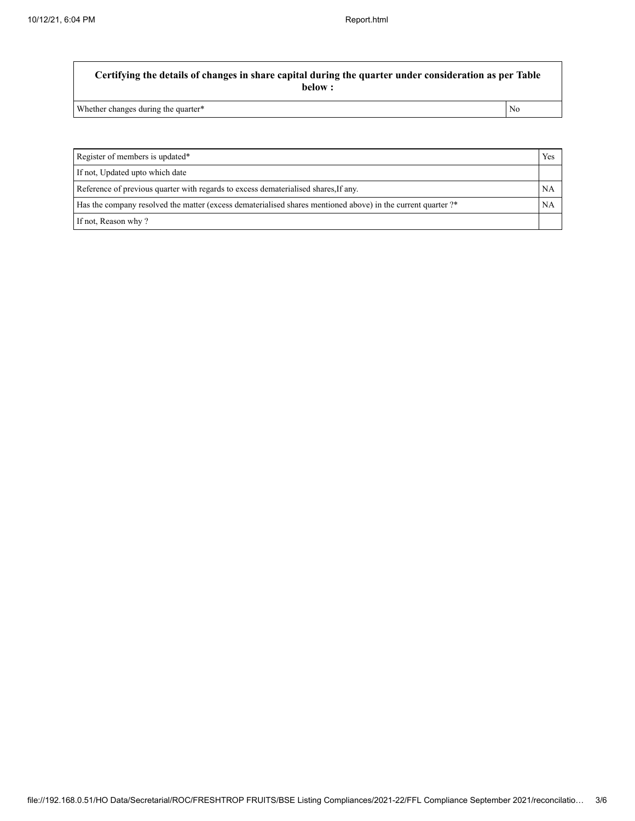**Certifying the details of changes in share capital during the quarter under consideration as per Table below :**

Whether changes during the quarter\* No

Register of members is updated\* Yes If not, Updated upto which date Reference of previous quarter with regards to excess dematerialised shares, If any. NA Has the company resolved the matter (excess dematerialised shares mentioned above) in the current quarter ?\* NA If not, Reason why ?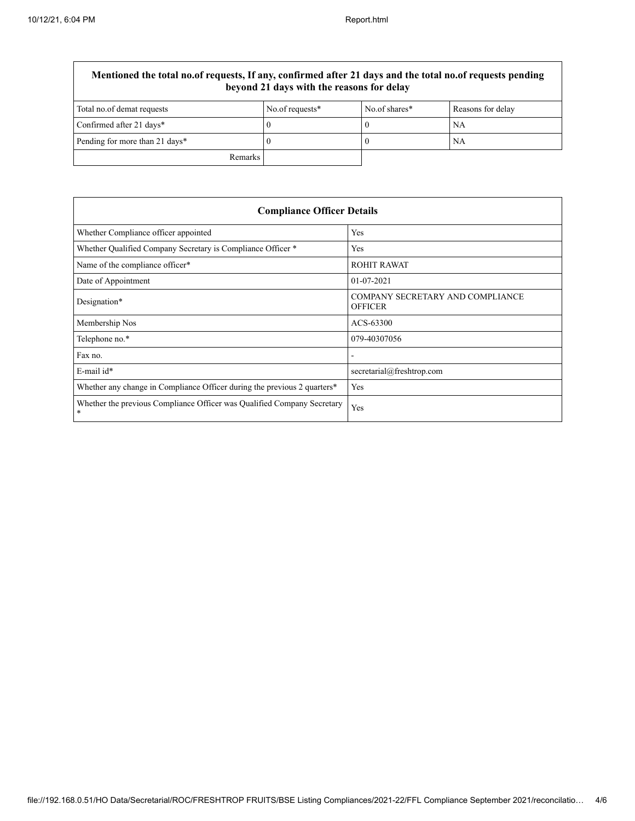$\overline{\Gamma}$ 

٦

| Mentioned the total no.of requests, If any, confirmed after 21 days and the total no.of requests pending<br>beyond 21 days with the reasons for delay |                 |               |                   |
|-------------------------------------------------------------------------------------------------------------------------------------------------------|-----------------|---------------|-------------------|
| Total no.of demat requests                                                                                                                            | No.of requests* | No.of shares* | Reasons for delay |
| Confirmed after 21 days*                                                                                                                              |                 |               | NA                |
| Pending for more than 21 days*                                                                                                                        |                 |               | NA                |
| Remarks                                                                                                                                               |                 |               |                   |

| <b>Compliance Officer Details</b>                                                    |                                                    |  |
|--------------------------------------------------------------------------------------|----------------------------------------------------|--|
| Whether Compliance officer appointed                                                 | Yes                                                |  |
| Whether Qualified Company Secretary is Compliance Officer *                          | Yes                                                |  |
| Name of the compliance officer*                                                      | <b>ROHIT RAWAT</b>                                 |  |
| Date of Appointment                                                                  | $01 - 07 - 2021$                                   |  |
| Designation*                                                                         | COMPANY SECRETARY AND COMPLIANCE<br><b>OFFICER</b> |  |
| Membership Nos                                                                       | ACS-63300                                          |  |
| Telephone no.*                                                                       | 079-40307056                                       |  |
| Fax no.                                                                              |                                                    |  |
| E-mail id*                                                                           | secretarial@freshtrop.com                          |  |
| Whether any change in Compliance Officer during the previous 2 quarters <sup>*</sup> | Yes                                                |  |
| Whether the previous Compliance Officer was Qualified Company Secretary<br>*         | Yes                                                |  |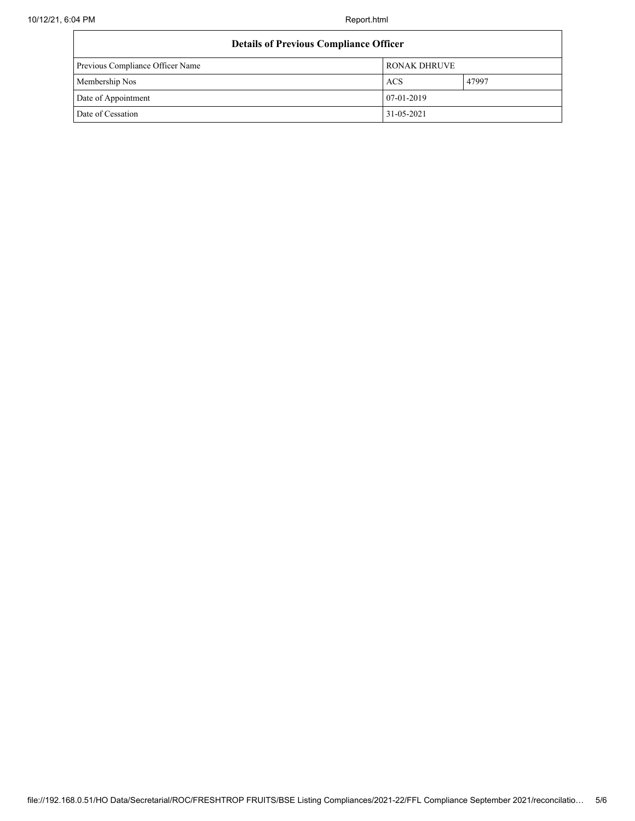| <b>Details of Previous Compliance Officer</b> |                     |       |
|-----------------------------------------------|---------------------|-------|
| Previous Compliance Officer Name              | <b>RONAK DHRUVE</b> |       |
| Membership Nos                                | <b>ACS</b>          | 47997 |
| Date of Appointment                           | 07-01-2019          |       |
| Date of Cessation                             | 31-05-2021          |       |